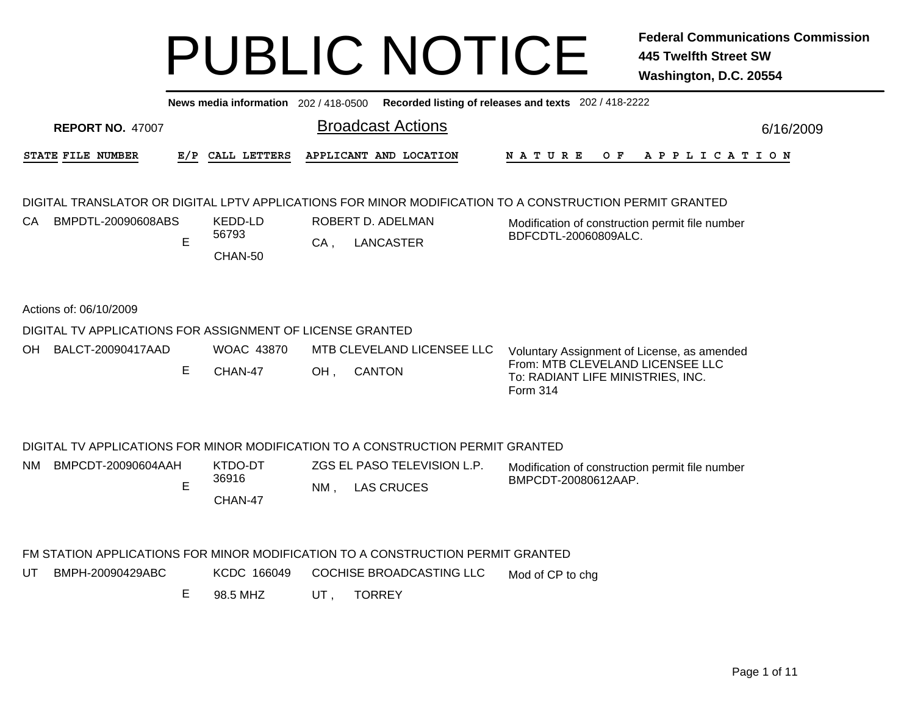| News media information 202 / 418-0500 Recorded listing of releases and texts 202 / 418-2222 |                                                           |     |                   |                            |                                                                                                         |                                                                                   |                                                 |  |  |  |     |  |  |  |  |                       |  |  |           |
|---------------------------------------------------------------------------------------------|-----------------------------------------------------------|-----|-------------------|----------------------------|---------------------------------------------------------------------------------------------------------|-----------------------------------------------------------------------------------|-------------------------------------------------|--|--|--|-----|--|--|--|--|-----------------------|--|--|-----------|
|                                                                                             | <b>REPORT NO. 47007</b>                                   |     |                   | <b>Broadcast Actions</b>   |                                                                                                         |                                                                                   |                                                 |  |  |  |     |  |  |  |  |                       |  |  | 6/16/2009 |
|                                                                                             | STATE FILE NUMBER                                         | E/P | CALL LETTERS      |                            | APPLICANT AND LOCATION                                                                                  | <b>NATURE</b>                                                                     |                                                 |  |  |  | O F |  |  |  |  | A P P L I C A T I O N |  |  |           |
|                                                                                             |                                                           |     |                   |                            | DIGITAL TRANSLATOR OR DIGITAL LPTV APPLICATIONS FOR MINOR MODIFICATION TO A CONSTRUCTION PERMIT GRANTED |                                                                                   |                                                 |  |  |  |     |  |  |  |  |                       |  |  |           |
| CA.                                                                                         | BMPDTL-20090608ABS                                        |     | KEDD-LD           | ROBERT D. ADELMAN          |                                                                                                         |                                                                                   | Modification of construction permit file number |  |  |  |     |  |  |  |  |                       |  |  |           |
|                                                                                             |                                                           | E   | 56793<br>CHAN-50  | $CA$ ,                     | <b>LANCASTER</b>                                                                                        | BDFCDTL-20060809ALC.                                                              |                                                 |  |  |  |     |  |  |  |  |                       |  |  |           |
|                                                                                             | Actions of: 06/10/2009                                    |     |                   |                            |                                                                                                         |                                                                                   |                                                 |  |  |  |     |  |  |  |  |                       |  |  |           |
|                                                                                             | DIGITAL TV APPLICATIONS FOR ASSIGNMENT OF LICENSE GRANTED |     |                   |                            |                                                                                                         |                                                                                   |                                                 |  |  |  |     |  |  |  |  |                       |  |  |           |
| OH.                                                                                         | BALCT-20090417AAD                                         |     | <b>WOAC 43870</b> | MTB CLEVELAND LICENSEE LLC |                                                                                                         |                                                                                   | Voluntary Assignment of License, as amended     |  |  |  |     |  |  |  |  |                       |  |  |           |
|                                                                                             |                                                           | E   | CHAN-47           | OH,                        | <b>CANTON</b>                                                                                           | From: MTB CLEVELAND LICENSEE LLC<br>To: RADIANT LIFE MINISTRIES, INC.<br>Form 314 |                                                 |  |  |  |     |  |  |  |  |                       |  |  |           |
|                                                                                             |                                                           |     |                   |                            | DIGITAL TV APPLICATIONS FOR MINOR MODIFICATION TO A CONSTRUCTION PERMIT GRANTED                         |                                                                                   |                                                 |  |  |  |     |  |  |  |  |                       |  |  |           |
| NM.                                                                                         | BMPCDT-20090604AAH                                        |     | KTDO-DT           |                            | ZGS EL PASO TELEVISION L.P.                                                                             | Modification of construction permit file number                                   |                                                 |  |  |  |     |  |  |  |  |                       |  |  |           |
|                                                                                             |                                                           | E   | 36916<br>CHAN-47  | $NM$ ,                     | <b>LAS CRUCES</b>                                                                                       | BMPCDT-20080612AAP.                                                               |                                                 |  |  |  |     |  |  |  |  |                       |  |  |           |
|                                                                                             |                                                           |     |                   |                            | FM STATION APPLICATIONS FOR MINOR MODIFICATION TO A CONSTRUCTION PERMIT GRANTED                         |                                                                                   |                                                 |  |  |  |     |  |  |  |  |                       |  |  |           |
| UT                                                                                          | BMPH-20090429ABC                                          |     | KCDC 166049       |                            | COCHISE BROADCASTING LLC                                                                                | Mod of CP to chg                                                                  |                                                 |  |  |  |     |  |  |  |  |                       |  |  |           |
|                                                                                             |                                                           | Е   | 98.5 MHZ          | UT,                        | <b>TORREY</b>                                                                                           |                                                                                   |                                                 |  |  |  |     |  |  |  |  |                       |  |  |           |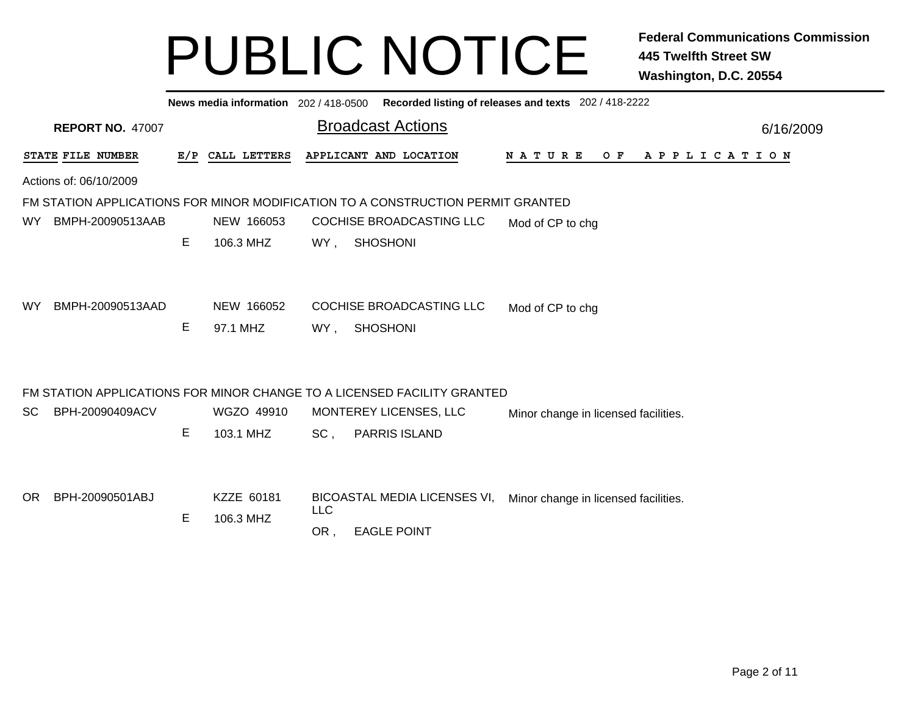|           | News media information 202 / 418-0500 Recorded listing of releases and texts 202 / 418-2222 |   |                  |                                                   |                                                                                 |  |                                      |                                      |  |  |  |  |  |  |  |                |           |  |
|-----------|---------------------------------------------------------------------------------------------|---|------------------|---------------------------------------------------|---------------------------------------------------------------------------------|--|--------------------------------------|--------------------------------------|--|--|--|--|--|--|--|----------------|-----------|--|
|           | <b>REPORT NO. 47007</b>                                                                     |   |                  | <b>Broadcast Actions</b>                          |                                                                                 |  |                                      |                                      |  |  |  |  |  |  |  |                | 6/16/2009 |  |
|           | STATE FILE NUMBER                                                                           |   | E/P CALL LETTERS |                                                   | APPLICANT AND LOCATION                                                          |  |                                      | N A T U R E                          |  |  |  |  |  |  |  | OF APPLICATION |           |  |
|           | Actions of: 06/10/2009                                                                      |   |                  |                                                   |                                                                                 |  |                                      |                                      |  |  |  |  |  |  |  |                |           |  |
|           |                                                                                             |   |                  |                                                   | FM STATION APPLICATIONS FOR MINOR MODIFICATION TO A CONSTRUCTION PERMIT GRANTED |  |                                      |                                      |  |  |  |  |  |  |  |                |           |  |
| WY        | BMPH-20090513AAB                                                                            |   | NEW 166053       |                                                   | COCHISE BROADCASTING LLC                                                        |  |                                      | Mod of CP to chg                     |  |  |  |  |  |  |  |                |           |  |
|           |                                                                                             | Е | 106.3 MHZ        | WY,                                               | <b>SHOSHONI</b>                                                                 |  |                                      |                                      |  |  |  |  |  |  |  |                |           |  |
|           |                                                                                             |   |                  |                                                   |                                                                                 |  |                                      |                                      |  |  |  |  |  |  |  |                |           |  |
| <b>WY</b> | BMPH-20090513AAD                                                                            |   | NEW 166052       |                                                   | COCHISE BROADCASTING LLC                                                        |  |                                      | Mod of CP to chg                     |  |  |  |  |  |  |  |                |           |  |
|           |                                                                                             | E | 97.1 MHZ         | WY,                                               | <b>SHOSHONI</b>                                                                 |  |                                      |                                      |  |  |  |  |  |  |  |                |           |  |
|           |                                                                                             |   |                  |                                                   |                                                                                 |  |                                      |                                      |  |  |  |  |  |  |  |                |           |  |
|           |                                                                                             |   |                  |                                                   | FM STATION APPLICATIONS FOR MINOR CHANGE TO A LICENSED FACILITY GRANTED         |  |                                      |                                      |  |  |  |  |  |  |  |                |           |  |
| SC.       | BPH-20090409ACV                                                                             |   | WGZO 49910       |                                                   | MONTEREY LICENSES, LLC                                                          |  |                                      | Minor change in licensed facilities. |  |  |  |  |  |  |  |                |           |  |
|           |                                                                                             | E | 103.1 MHZ        | SC,                                               | <b>PARRIS ISLAND</b>                                                            |  |                                      |                                      |  |  |  |  |  |  |  |                |           |  |
|           |                                                                                             |   |                  |                                                   |                                                                                 |  |                                      |                                      |  |  |  |  |  |  |  |                |           |  |
| OR.       | BPH-20090501ABJ                                                                             |   | KZZE 60181       | <b>BICOASTAL MEDIA LICENSES VI,</b><br><b>LLC</b> |                                                                                 |  | Minor change in licensed facilities. |                                      |  |  |  |  |  |  |  |                |           |  |
|           |                                                                                             | Е | 106.3 MHZ        | OR,                                               | <b>EAGLE POINT</b>                                                              |  |                                      |                                      |  |  |  |  |  |  |  |                |           |  |
|           |                                                                                             |   |                  |                                                   |                                                                                 |  |                                      |                                      |  |  |  |  |  |  |  |                |           |  |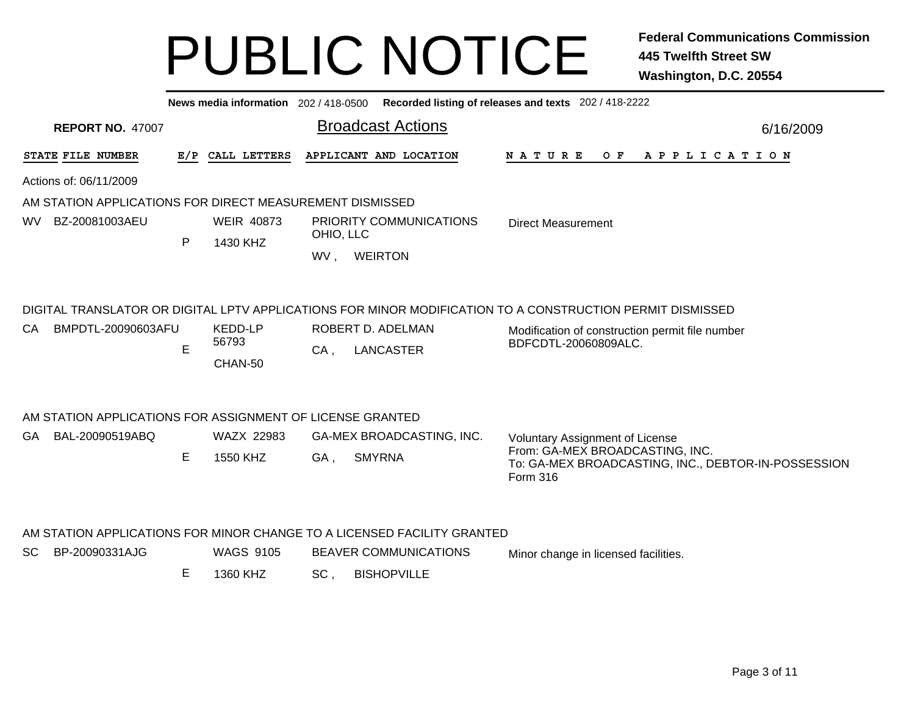|                                                           |   | News media information 202 / 418-0500 |           |                                                                         | Recorded listing of releases and texts 202 / 418-2222                                                                                                                                |           |
|-----------------------------------------------------------|---|---------------------------------------|-----------|-------------------------------------------------------------------------|--------------------------------------------------------------------------------------------------------------------------------------------------------------------------------------|-----------|
| <b>REPORT NO. 47007</b>                                   |   |                                       |           | <b>Broadcast Actions</b>                                                |                                                                                                                                                                                      | 6/16/2009 |
| STATE FILE NUMBER                                         |   | E/P CALL LETTERS                      |           | APPLICANT AND LOCATION                                                  | N A T U R E<br>O F<br>A P P L I C A T I O N                                                                                                                                          |           |
| Actions of: 06/11/2009                                    |   |                                       |           |                                                                         |                                                                                                                                                                                      |           |
| AM STATION APPLICATIONS FOR DIRECT MEASUREMENT DISMISSED  |   |                                       |           |                                                                         |                                                                                                                                                                                      |           |
| BZ-20081003AEU<br>WV l                                    |   | <b>WEIR 40873</b>                     |           | PRIORITY COMMUNICATIONS                                                 | <b>Direct Measurement</b>                                                                                                                                                            |           |
|                                                           | P | 1430 KHZ                              | OHIO, LLC |                                                                         |                                                                                                                                                                                      |           |
|                                                           |   |                                       | WV,       | <b>WEIRTON</b>                                                          |                                                                                                                                                                                      |           |
| CA<br>BMPDTL-20090603AFU                                  | E | <b>KEDD-LP</b><br>56793<br>CHAN-50    | $CA$ ,    | ROBERT D. ADELMAN<br><b>LANCASTER</b>                                   | DIGITAL TRANSLATOR OR DIGITAL LPTV APPLICATIONS FOR MINOR MODIFICATION TO A CONSTRUCTION PERMIT DISMISSED<br>Modification of construction permit file number<br>BDFCDTL-20060809ALC. |           |
| AM STATION APPLICATIONS FOR ASSIGNMENT OF LICENSE GRANTED |   |                                       |           |                                                                         |                                                                                                                                                                                      |           |
| GA BAL-20090519ABQ                                        |   | WAZX 22983                            |           | GA-MEX BROADCASTING, INC.                                               | <b>Voluntary Assignment of License</b>                                                                                                                                               |           |
|                                                           | Е | 1550 KHZ                              | GA,       | <b>SMYRNA</b>                                                           | From: GA-MEX BROADCASTING, INC.                                                                                                                                                      |           |
|                                                           |   |                                       |           |                                                                         | To: GA-MEX BROADCASTING, INC., DEBTOR-IN-POSSESSION<br>Form 316                                                                                                                      |           |
|                                                           |   |                                       |           | AM STATION APPLICATIONS FOR MINOR CHANGE TO A LICENSED FACILITY GRANTED |                                                                                                                                                                                      |           |
| SC<br>BP-20090331AJG                                      |   | <b>WAGS 9105</b>                      |           | <b>BEAVER COMMUNICATIONS</b>                                            | Minor change in licensed facilities.                                                                                                                                                 |           |
|                                                           | Е | 1360 KHZ                              | SC,       | <b>BISHOPVILLE</b>                                                      |                                                                                                                                                                                      |           |
|                                                           |   |                                       |           |                                                                         |                                                                                                                                                                                      |           |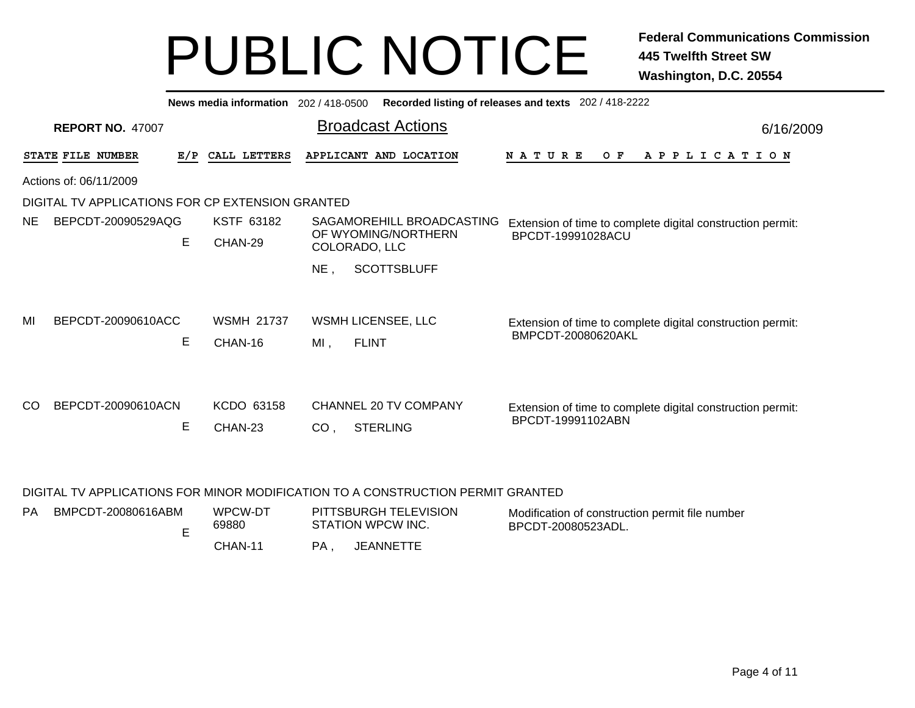|                                                  |                         |     | News media information       | 202 / 418-0500  |                                          | Recorded listing of releases and texts 202 / 418-2222                            |           |  |  |  |  |
|--------------------------------------------------|-------------------------|-----|------------------------------|-----------------|------------------------------------------|----------------------------------------------------------------------------------|-----------|--|--|--|--|
|                                                  | <b>REPORT NO. 47007</b> |     |                              |                 | <b>Broadcast Actions</b>                 |                                                                                  | 6/16/2009 |  |  |  |  |
|                                                  | STATE FILE NUMBER       | E/P | CALL LETTERS                 |                 | APPLICANT AND LOCATION                   | A P P L I C A T I O N<br><b>NATURE</b><br>O F                                    |           |  |  |  |  |
| Actions of: 06/11/2009                           |                         |     |                              |                 |                                          |                                                                                  |           |  |  |  |  |
| DIGITAL TV APPLICATIONS FOR CP EXTENSION GRANTED |                         |     |                              |                 |                                          |                                                                                  |           |  |  |  |  |
| NE.                                              | BEPCDT-20090529AQG      |     | <b>KSTF 63182</b>            |                 | SAGAMOREHILL BROADCASTING                | Extension of time to complete digital construction permit:                       |           |  |  |  |  |
|                                                  |                         | E   | CHAN-29                      |                 | OF WYOMING/NORTHERN<br>COLORADO, LLC     | BPCDT-19991028ACU                                                                |           |  |  |  |  |
|                                                  |                         |     |                              | $NE$ ,          | <b>SCOTTSBLUFF</b>                       |                                                                                  |           |  |  |  |  |
| MI                                               | BEPCDT-20090610ACC      | Е   | <b>WSMH 21737</b><br>CHAN-16 | $MI$ ,          | WSMH LICENSEE, LLC<br><b>FLINT</b>       | Extension of time to complete digital construction permit:<br>BMPCDT-20080620AKL |           |  |  |  |  |
| <sub>CO</sub>                                    | BEPCDT-20090610ACN      | E   | KCDO 63158<br>CHAN-23        | CO <sub>1</sub> | CHANNEL 20 TV COMPANY<br><b>STERLING</b> | Extension of time to complete digital construction permit:<br>BPCDT-19991102ABN  |           |  |  |  |  |

#### DIGITAL TV APPLICATIONS FOR MINOR MODIFICATION TO A CONSTRUCTION PERMIT GRANTED

| <b>PA</b> | BMPCDT-20080616ABM | WPCW-DT<br>69880 | PITTSBURGH TELEVISION<br>STATION WPCW INC. | Modification of construction permit file number<br>BPCDT-20080523ADL. |
|-----------|--------------------|------------------|--------------------------------------------|-----------------------------------------------------------------------|
|           |                    | CHAN-11          | JEANNETTE                                  |                                                                       |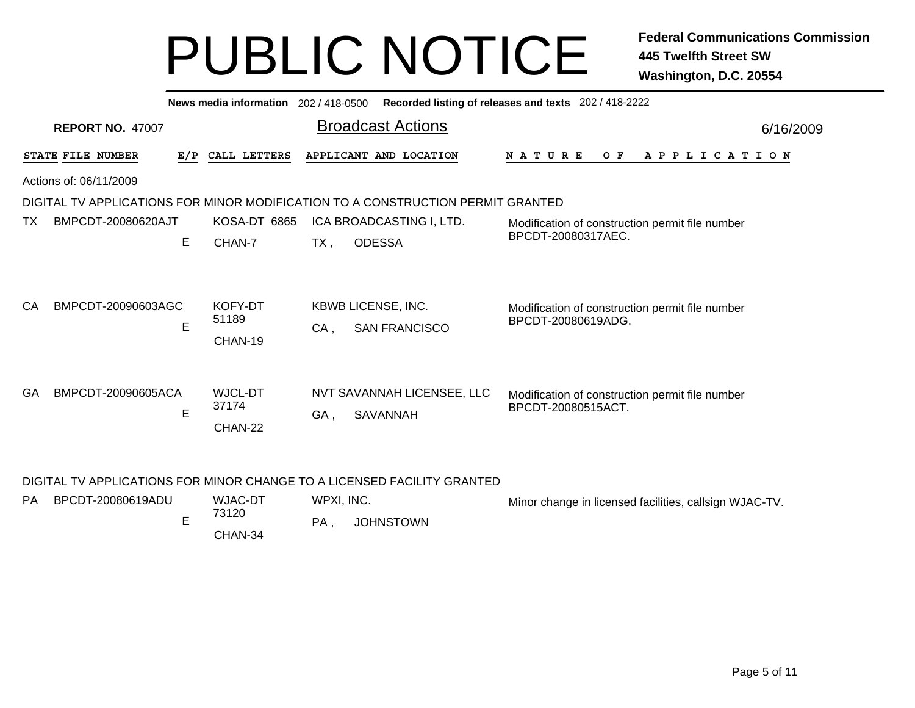|           | Recorded listing of releases and texts 202 / 418-2222<br>News media information 202 / 418-0500 |                             |                                                   |                                                                       |  |  |  |  |  |  |  |  |  |
|-----------|------------------------------------------------------------------------------------------------|-----------------------------|---------------------------------------------------|-----------------------------------------------------------------------|--|--|--|--|--|--|--|--|--|
|           | <b>REPORT NO. 47007</b>                                                                        |                             | <b>Broadcast Actions</b>                          | 6/16/2009                                                             |  |  |  |  |  |  |  |  |  |
|           | STATE FILE NUMBER<br>E/P                                                                       | CALL LETTERS                | APPLICANT AND LOCATION                            | <b>NATURE</b><br>O F<br>A P P L I C A T I O N                         |  |  |  |  |  |  |  |  |  |
|           | Actions of: 06/11/2009                                                                         |                             |                                                   |                                                                       |  |  |  |  |  |  |  |  |  |
|           | DIGITAL TV APPLICATIONS FOR MINOR MODIFICATION TO A CONSTRUCTION PERMIT GRANTED                |                             |                                                   |                                                                       |  |  |  |  |  |  |  |  |  |
| ТX        | BMPCDT-20080620AJT                                                                             | KOSA-DT 6865                | ICA BROADCASTING I, LTD.                          | Modification of construction permit file number                       |  |  |  |  |  |  |  |  |  |
|           | E                                                                                              | CHAN-7                      | <b>ODESSA</b><br>$TX$ ,                           | BPCDT-20080317AEC.                                                    |  |  |  |  |  |  |  |  |  |
| CA        | BMPCDT-20090603AGC<br>E                                                                        | KOFY-DT<br>51189<br>CHAN-19 | KBWB LICENSE, INC.<br><b>SAN FRANCISCO</b><br>CA, | Modification of construction permit file number<br>BPCDT-20080619ADG. |  |  |  |  |  |  |  |  |  |
| <b>GA</b> | BMPCDT-20090605ACA                                                                             | WJCL-DT                     | NVT SAVANNAH LICENSEE, LLC                        | Modification of construction permit file number                       |  |  |  |  |  |  |  |  |  |
|           | E                                                                                              | 37174                       | GA,<br>SAVANNAH                                   | BPCDT-20080515ACT.                                                    |  |  |  |  |  |  |  |  |  |
|           | CHAN-22<br>DIGITAL TV APPLICATIONS FOR MINOR CHANGE TO A LICENSED FACILITY GRANTED             |                             |                                                   |                                                                       |  |  |  |  |  |  |  |  |  |

| PA. | BPCDT-20080619ADU | WJAC-DT | WPXI, INC. |                  | Minor change in licensed facilities, callsign WJAC-TV. |
|-----|-------------------|---------|------------|------------------|--------------------------------------------------------|
|     |                   | 73120   | <b>PA</b>  | <b>JOHNSTOWN</b> |                                                        |
|     |                   | CHAN-34 |            |                  |                                                        |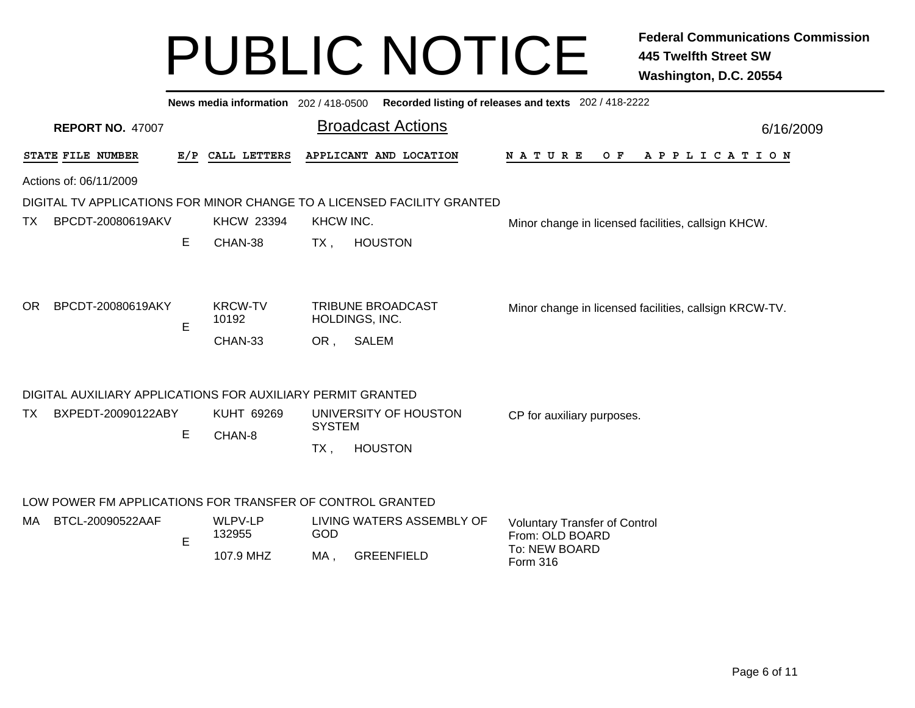|                                                             |   |                                    |                      | News media information 202/418-0500 Recorded listing of releases and texts 202/418-2222 |                                                                                             |  |  |  |  |  |  |
|-------------------------------------------------------------|---|------------------------------------|----------------------|-----------------------------------------------------------------------------------------|---------------------------------------------------------------------------------------------|--|--|--|--|--|--|
| <b>REPORT NO. 47007</b>                                     |   |                                    |                      | <b>Broadcast Actions</b>                                                                | 6/16/2009                                                                                   |  |  |  |  |  |  |
| STATE FILE NUMBER                                           |   | E/P CALL LETTERS                   |                      | APPLICANT AND LOCATION                                                                  | N A T U R E<br>OF APPLICATION                                                               |  |  |  |  |  |  |
| Actions of: 06/11/2009                                      |   |                                    |                      |                                                                                         |                                                                                             |  |  |  |  |  |  |
|                                                             |   |                                    |                      | DIGITAL TV APPLICATIONS FOR MINOR CHANGE TO A LICENSED FACILITY GRANTED                 |                                                                                             |  |  |  |  |  |  |
| BPCDT-20080619AKV<br>TX.                                    |   | <b>KHCW 23394</b>                  | KHCW INC.            |                                                                                         | Minor change in licensed facilities, callsign KHCW.                                         |  |  |  |  |  |  |
|                                                             | E | CHAN-38                            | $TX$ ,               | <b>HOUSTON</b>                                                                          |                                                                                             |  |  |  |  |  |  |
| BPCDT-20080619AKY<br>OR.                                    | E | <b>KRCW-TV</b><br>10192<br>CHAN-33 | OR,                  | TRIBUNE BROADCAST<br>HOLDINGS, INC.<br><b>SALEM</b>                                     | Minor change in licensed facilities, callsign KRCW-TV.                                      |  |  |  |  |  |  |
| DIGITAL AUXILIARY APPLICATIONS FOR AUXILIARY PERMIT GRANTED |   |                                    |                      |                                                                                         |                                                                                             |  |  |  |  |  |  |
| BXPEDT-20090122ABY<br>TX.                                   | Е | KUHT 69269<br>CHAN-8               | <b>SYSTEM</b><br>TX, | UNIVERSITY OF HOUSTON<br><b>HOUSTON</b>                                                 | CP for auxiliary purposes.                                                                  |  |  |  |  |  |  |
| LOW POWER FM APPLICATIONS FOR TRANSFER OF CONTROL GRANTED   |   |                                    |                      |                                                                                         |                                                                                             |  |  |  |  |  |  |
| BTCL-20090522AAF<br>MA.                                     | E | WLPV-LP<br>132955<br>107.9 MHZ     | GOD<br>MA,           | LIVING WATERS ASSEMBLY OF<br><b>GREENFIELD</b>                                          | <b>Voluntary Transfer of Control</b><br>From: OLD BOARD<br>To: NEW BOARD<br><b>Form 316</b> |  |  |  |  |  |  |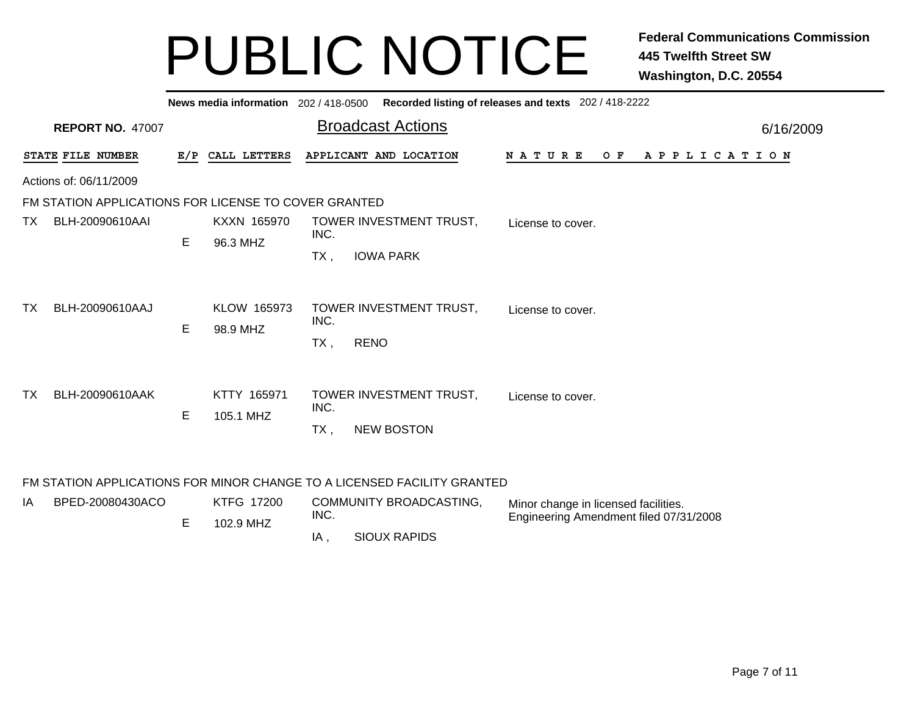|     | News media information 202/418-0500 Recorded listing of releases and texts 202/418-2222 |            |                                         |                                        |                                                                                |           |  |  |  |  |  |  |
|-----|-----------------------------------------------------------------------------------------|------------|-----------------------------------------|----------------------------------------|--------------------------------------------------------------------------------|-----------|--|--|--|--|--|--|
|     | <b>REPORT NO. 47007</b>                                                                 |            |                                         | <b>Broadcast Actions</b>               |                                                                                | 6/16/2009 |  |  |  |  |  |  |
|     | STATE FILE NUMBER                                                                       | E/P        | CALL LETTERS                            | APPLICANT AND LOCATION                 | <b>NATURE</b><br>OF APPLICATION                                                |           |  |  |  |  |  |  |
|     | Actions of: 06/11/2009                                                                  |            |                                         |                                        |                                                                                |           |  |  |  |  |  |  |
|     | FM STATION APPLICATIONS FOR LICENSE TO COVER GRANTED                                    |            |                                         |                                        |                                                                                |           |  |  |  |  |  |  |
| ТX  | BLH-20090610AAI                                                                         | Е          | KXXN 165970<br>96.3 MHZ                 | TOWER INVESTMENT TRUST,<br>INC.        | License to cover.                                                              |           |  |  |  |  |  |  |
|     |                                                                                         |            |                                         | $TX$ ,<br><b>IOWA PARK</b>             |                                                                                |           |  |  |  |  |  |  |
| TX. | BLH-20090610AAJ                                                                         | E.         | KLOW 165973<br>98.9 MHZ                 | TOWER INVESTMENT TRUST,<br>INC.        | License to cover.                                                              |           |  |  |  |  |  |  |
|     |                                                                                         |            |                                         | <b>RENO</b><br>TX,                     |                                                                                |           |  |  |  |  |  |  |
| TX. | BLH-20090610AAK                                                                         | E          | KTTY 165971                             | TOWER INVESTMENT TRUST,<br>INC.        | License to cover.                                                              |           |  |  |  |  |  |  |
|     |                                                                                         |            | 105.1 MHZ                               | <b>NEW BOSTON</b><br>TX.               |                                                                                |           |  |  |  |  |  |  |
|     | FM STATION APPLICATIONS FOR MINOR CHANGE TO A LICENSED FACILITY GRANTED                 |            |                                         |                                        |                                                                                |           |  |  |  |  |  |  |
| IA  | BPED-20080430ACO                                                                        | <b>E</b> 1 | KTFG 17200<br>$\sqrt{200}$ $\sqrt{111}$ | <b>COMMUNITY BROADCASTING,</b><br>INC. | Minor change in licensed facilities.<br>Engineering Amendment filed 07/31/2008 |           |  |  |  |  |  |  |

, SIOUX RAPIDS

IA

E

102.9 MHZ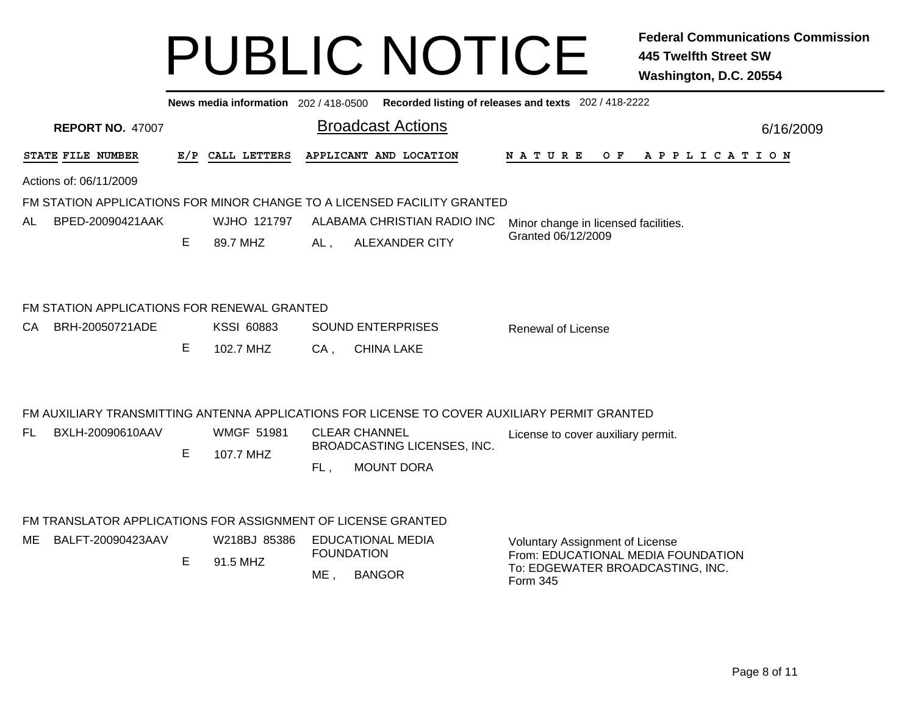|                                                              |    |                   |        | News media information 202/418-0500 Recorded listing of releases and texts 202/418-2222      |                                                                              |           |
|--------------------------------------------------------------|----|-------------------|--------|----------------------------------------------------------------------------------------------|------------------------------------------------------------------------------|-----------|
| <b>REPORT NO. 47007</b>                                      |    |                   |        | <b>Broadcast Actions</b>                                                                     |                                                                              | 6/16/2009 |
| STATE FILE NUMBER                                            |    | E/P CALL LETTERS  |        | APPLICANT AND LOCATION                                                                       | OF APPLICATION<br>N A T U R E                                                |           |
| Actions of: 06/11/2009                                       |    |                   |        |                                                                                              |                                                                              |           |
|                                                              |    |                   |        | FM STATION APPLICATIONS FOR MINOR CHANGE TO A LICENSED FACILITY GRANTED                      |                                                                              |           |
| BPED-20090421AAK<br>AL.                                      |    | WJHO 121797       |        | ALABAMA CHRISTIAN RADIO INC                                                                  | Minor change in licensed facilities.                                         |           |
|                                                              | E. | 89.7 MHZ          | AL,    | <b>ALEXANDER CITY</b>                                                                        | Granted 06/12/2009                                                           |           |
|                                                              |    |                   |        |                                                                                              |                                                                              |           |
| FM STATION APPLICATIONS FOR RENEWAL GRANTED                  |    |                   |        |                                                                                              |                                                                              |           |
| BRH-20050721ADE<br>CA.                                       |    | <b>KSSI 60883</b> |        | <b>SOUND ENTERPRISES</b>                                                                     | <b>Renewal of License</b>                                                    |           |
|                                                              | E. | 102.7 MHZ         | $CA$ , | <b>CHINA LAKE</b>                                                                            |                                                                              |           |
|                                                              |    |                   |        | FM AUXILIARY TRANSMITTING ANTENNA APPLICATIONS FOR LICENSE TO COVER AUXILIARY PERMIT GRANTED |                                                                              |           |
| BXLH-20090610AAV<br>FL.                                      |    | <b>WMGF 51981</b> |        | <b>CLEAR CHANNEL</b>                                                                         | License to cover auxiliary permit.                                           |           |
|                                                              | E. | 107.7 MHZ         |        | BROADCASTING LICENSES, INC.                                                                  |                                                                              |           |
|                                                              |    |                   | FL,    | <b>MOUNT DORA</b>                                                                            |                                                                              |           |
|                                                              |    |                   |        |                                                                                              |                                                                              |           |
| FM TRANSLATOR APPLICATIONS FOR ASSIGNMENT OF LICENSE GRANTED |    |                   |        |                                                                                              |                                                                              |           |
| BALFT-20090423AAV<br>ME                                      |    | W218BJ 85386      |        | <b>EDUCATIONAL MEDIA</b><br><b>FOUNDATION</b>                                                | <b>Voluntary Assignment of License</b><br>From: EDUCATIONAL MEDIA FOUNDATION |           |
|                                                              | E. | 91.5 MHZ          | ME,    | <b>BANGOR</b>                                                                                | To: EDGEWATER BROADCASTING, INC.<br>Form 345                                 |           |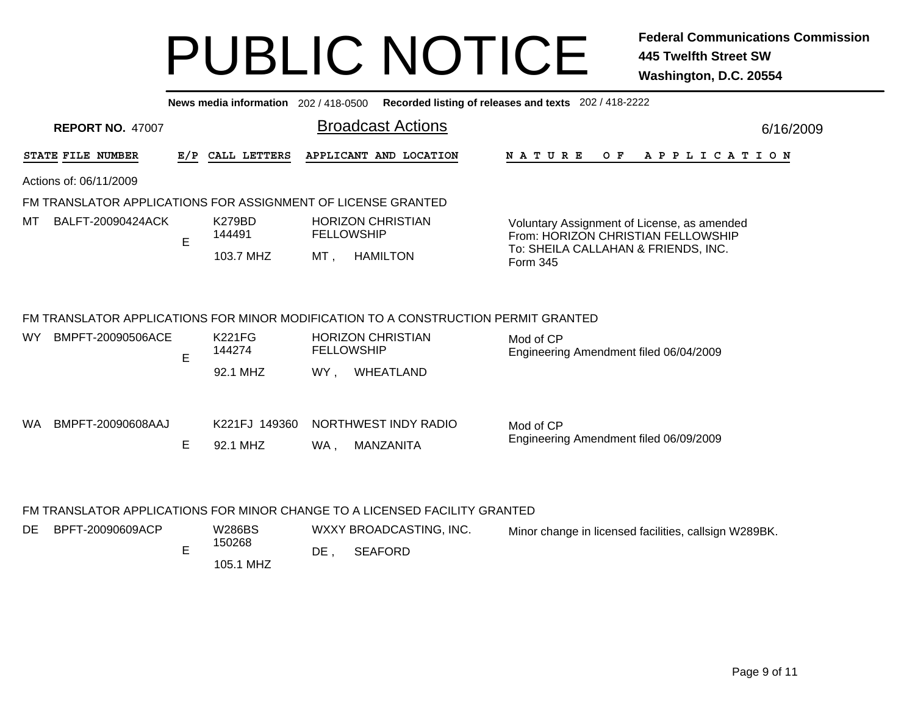**News media information** 202 / 418-0500**Recorded listing of releases and texts** 202 / 418-2222

| <b>REPORT NO. 47007</b>                                      |     |                           |        | <b>Broadcast Actions</b>                                                           |                                                                                   | 6/16/2009 |
|--------------------------------------------------------------|-----|---------------------------|--------|------------------------------------------------------------------------------------|-----------------------------------------------------------------------------------|-----------|
| STATE FILE NUMBER                                            | E/P | CALL LETTERS              |        | APPLICANT AND LOCATION                                                             | NATURE<br>O F<br>A P P L I C A T I O N                                            |           |
| Actions of: 06/11/2009                                       |     |                           |        |                                                                                    |                                                                                   |           |
| FM TRANSLATOR APPLICATIONS FOR ASSIGNMENT OF LICENSE GRANTED |     |                           |        |                                                                                    |                                                                                   |           |
| мт<br>BALFT-20090424ACK                                      | E   | K279BD<br>144491          |        | <b>HORIZON CHRISTIAN</b><br><b>FELLOWSHIP</b>                                      | Voluntary Assignment of License, as amended<br>From: HORIZON CHRISTIAN FELLOWSHIP |           |
|                                                              |     | 103.7 MHZ                 | MT,    | <b>HAMILTON</b>                                                                    | To: SHEILA CALLAHAN & FRIENDS, INC.<br>Form 345                                   |           |
|                                                              |     |                           |        | FM TRANSLATOR APPLICATIONS FOR MINOR MODIFICATION TO A CONSTRUCTION PERMIT GRANTED |                                                                                   |           |
| BMPFT-20090506ACE<br>WY.                                     | E   | <b>K221FG</b><br>144274   |        | <b>HORIZON CHRISTIAN</b><br><b>FELLOWSHIP</b>                                      | Mod of CP<br>Engineering Amendment filed 06/04/2009                               |           |
|                                                              |     | 92.1 MHZ                  | WY.    | WHEATLAND                                                                          |                                                                                   |           |
| WA .<br>BMPFT-20090608AAJ                                    | Е   | K221FJ 149360<br>92.1 MHZ | WA,    | NORTHWEST INDY RADIO<br>MANZANITA                                                  | Mod of CP<br>Engineering Amendment filed 06/09/2009                               |           |
|                                                              |     |                           |        | FM TRANSLATOR APPLICATIONS FOR MINOR CHANGE TO A LICENSED FACILITY GRANTED         |                                                                                   |           |
| DE<br>BPFT-20090609ACP                                       |     | W286BS                    |        | WXXY BROADCASTING, INC.                                                            | Minor change in licensed facilities, callsign W289BK.                             |           |
|                                                              | E   | 150268<br>105.1 MHZ       | $DE$ , | <b>SEAFORD</b>                                                                     |                                                                                   |           |

Page 9 of 11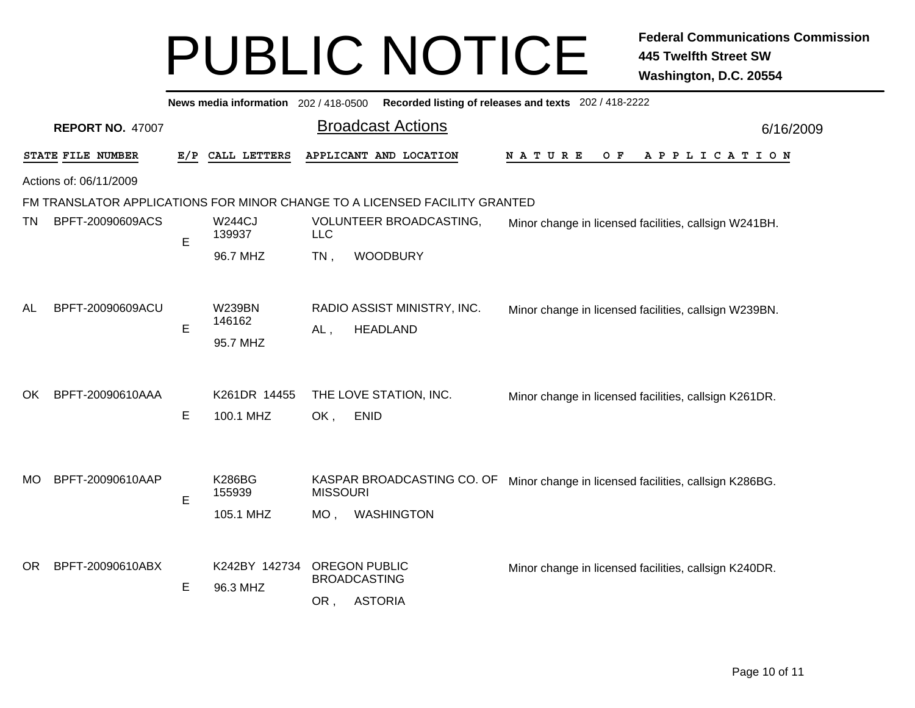|                         | Recorded listing of releases and texts 202 / 418-2222<br>News media information 202 / 418-0500 |          |                                      |                           |                                                               |                                                       |           |  |  |  |  |  |  |
|-------------------------|------------------------------------------------------------------------------------------------|----------|--------------------------------------|---------------------------|---------------------------------------------------------------|-------------------------------------------------------|-----------|--|--|--|--|--|--|
|                         | <b>REPORT NO. 47007</b>                                                                        |          |                                      |                           | <b>Broadcast Actions</b>                                      |                                                       | 6/16/2009 |  |  |  |  |  |  |
|                         | STATE FILE NUMBER                                                                              | E/P      | CALL LETTERS                         |                           | APPLICANT AND LOCATION                                        | O F<br>A P P L I C A T I O N<br>N A T U R E           |           |  |  |  |  |  |  |
|                         | Actions of: 06/11/2009                                                                         |          |                                      |                           |                                                               |                                                       |           |  |  |  |  |  |  |
|                         | FM TRANSLATOR APPLICATIONS FOR MINOR CHANGE TO A LICENSED FACILITY GRANTED                     |          |                                      |                           |                                                               |                                                       |           |  |  |  |  |  |  |
| BPFT-20090609ACS<br>TN. |                                                                                                | E        | <b>W244CJ</b><br>139937              | <b>LLC</b>                | VOLUNTEER BROADCASTING,                                       | Minor change in licensed facilities, callsign W241BH. |           |  |  |  |  |  |  |
|                         |                                                                                                | 96.7 MHZ |                                      | $TN$ ,                    | <b>WOODBURY</b>                                               |                                                       |           |  |  |  |  |  |  |
| AL                      | BPFT-20090609ACU                                                                               | Е        | <b>W239BN</b><br>146162<br>95.7 MHZ  | $AL$ ,                    | RADIO ASSIST MINISTRY, INC.<br><b>HEADLAND</b>                | Minor change in licensed facilities, callsign W239BN. |           |  |  |  |  |  |  |
| OK.                     | BPFT-20090610AAA                                                                               | E        | K261DR 14455<br>100.1 MHZ            | OK,                       | THE LOVE STATION, INC.<br><b>ENID</b>                         | Minor change in licensed facilities, callsign K261DR. |           |  |  |  |  |  |  |
| <b>MO</b>               | BPFT-20090610AAP                                                                               | E        | <b>K286BG</b><br>155939<br>105.1 MHZ | <b>MISSOURI</b><br>$MO$ , | KASPAR BROADCASTING CO. OF<br><b>WASHINGTON</b>               | Minor change in licensed facilities, callsign K286BG. |           |  |  |  |  |  |  |
| <b>OR</b>               | BPFT-20090610ABX                                                                               | E        | K242BY 142734<br>96.3 MHZ            | OR,                       | <b>OREGON PUBLIC</b><br><b>BROADCASTING</b><br><b>ASTORIA</b> | Minor change in licensed facilities, callsign K240DR. |           |  |  |  |  |  |  |